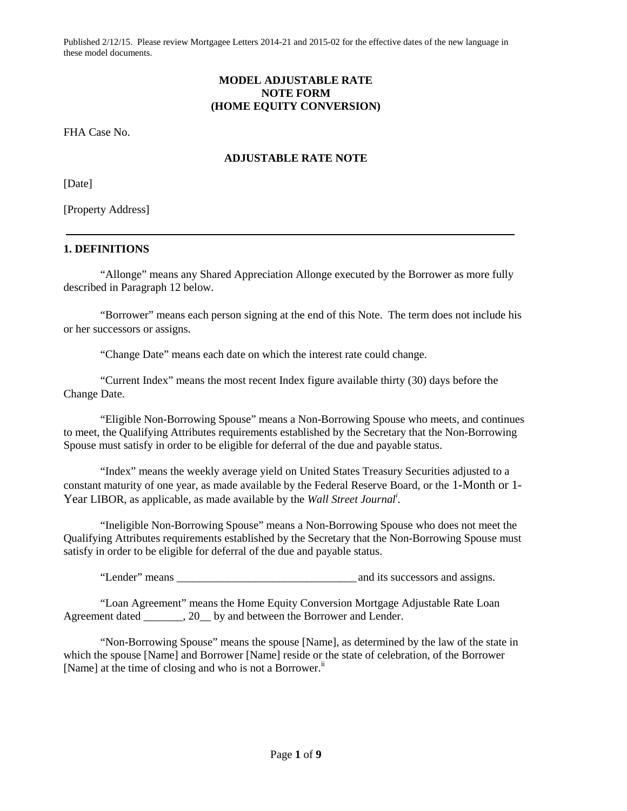## **MODEL ADJUSTABLE RATE NOTE FORM (HOME EQUITY CONVERSION)**

FHA Case No.

## **ADJUSTABLE RATE NOTE**

[Date]

[Property Address]

### **1. DEFINITIONS**

"Allonge" means any Shared Appreciation Allonge executed by the Borrower as more fully described in Paragraph 12 below.

"Borrower" means each person signing at the end of this Note. The term does not include his or her successors or assigns.

"Change Date" means each date on which the interest rate could change.

"Current Index" means the most recent Index figure available thirty (30) days before the Change Date.

"Eligible Non-Borrowing Spouse" means a Non-Borrowing Spouse who meets, and continues to meet, the Qualifying Attributes requirements established by the Secretary that the Non-Borrowing Spouse must satisfy in order to be eligible for deferral of the due and payable status.

"Index" means the weekly average yield on United States Treasury Securities adjusted to a constant maturity of one year, as made available by the Federal Reserve Board, or the 1-Month or 1- Year LIBOR, as applicable, as made available by the *Wall Street Journal<sup>i</sup>* .

"Ineligible Non-Borrowing Spouse" means a Non-Borrowing Spouse who does not meet the Qualifying Attributes requirements established by the Secretary that the Non-Borrowing Spouse must satisfy in order to be eligible for deferral of the due and payable status.

"Lender" means \_\_\_\_\_\_\_\_\_\_\_\_\_\_\_\_\_\_\_\_\_\_\_\_\_\_\_\_\_\_\_\_ and its successors and assigns.

"Loan Agreement" means the Home Equity Conversion Mortgage Adjustable Rate Loan Agreement dated  $\qquad \qquad$ , 20 by and between the Borrower and Lender.

"Non-Borrowing Spouse" means the spouse [Name], as determined by the law of the state in which the spouse [Name] and Borrower [Name] reside or the state of celebration, of the Borrower [Name] at the time of closing and who is not a Borrower.<sup>ii</sup>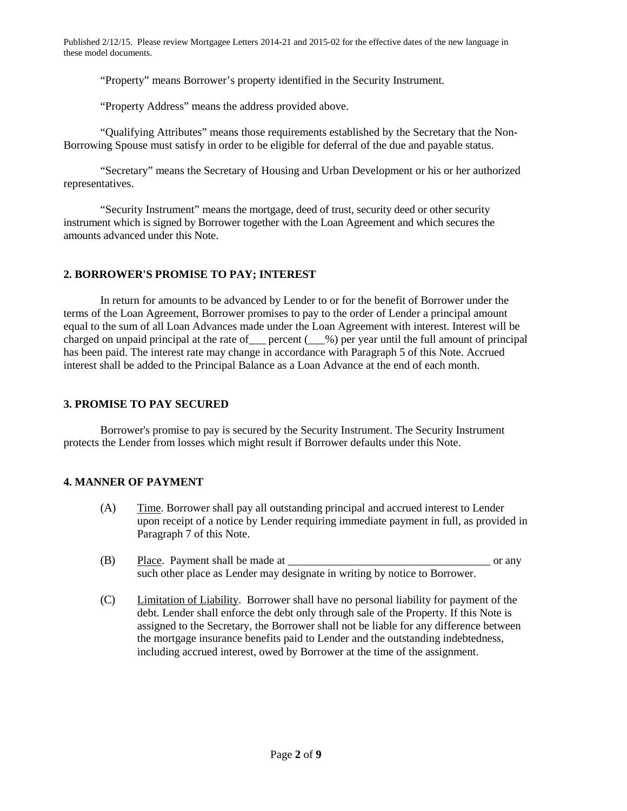"Property" means Borrower's property identified in the Security Instrument.

"Property Address" means the address provided above.

"Qualifying Attributes" means those requirements established by the Secretary that the Non-Borrowing Spouse must satisfy in order to be eligible for deferral of the due and payable status.

"Secretary" means the Secretary of Housing and Urban Development or his or her authorized representatives.

"Security Instrument" means the mortgage, deed of trust, security deed or other security instrument which is signed by Borrower together with the Loan Agreement and which secures the amounts advanced under this Note.

### **2. BORROWER'S PROMISE TO PAY; INTEREST**

In return for amounts to be advanced by Lender to or for the benefit of Borrower under the terms of the Loan Agreement, Borrower promises to pay to the order of Lender a principal amount equal to the sum of all Loan Advances made under the Loan Agreement with interest. Interest will be charged on unpaid principal at the rate of percent ( $\_\%$ ) per year until the full amount of principal has been paid. The interest rate may change in accordance with Paragraph 5 of this Note. Accrued interest shall be added to the Principal Balance as a Loan Advance at the end of each month.

### **3. PROMISE TO PAY SECURED**

Borrower's promise to pay is secured by the Security Instrument. The Security Instrument protects the Lender from losses which might result if Borrower defaults under this Note.

# **4. MANNER OF PAYMENT**

- (A) Time. Borrower shall pay all outstanding principal and accrued interest to Lender upon receipt of a notice by Lender requiring immediate payment in full, as provided in Paragraph 7 of this Note.
- (B) Place. Payment shall be made at \_\_\_\_\_\_\_\_\_\_\_\_\_\_\_\_\_\_\_\_\_\_\_\_\_\_\_\_\_\_\_\_\_\_\_\_ or any such other place as Lender may designate in writing by notice to Borrower.
- (C) Limitation of Liability. Borrower shall have no personal liability for payment of the debt. Lender shall enforce the debt only through sale of the Property. If this Note is assigned to the Secretary, the Borrower shall not be liable for any difference between the mortgage insurance benefits paid to Lender and the outstanding indebtedness, including accrued interest, owed by Borrower at the time of the assignment.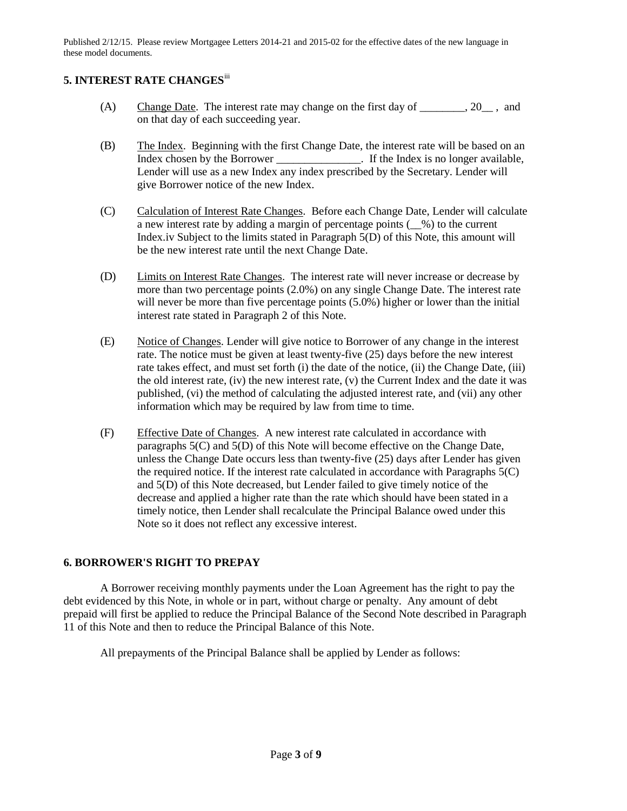# **5. INTEREST RATE CHANGES**iii

- (A) Change Date. The interest rate may change on the first day of \_\_\_\_\_\_\_\_, 20\_\_ , and on that day of each succeeding year.
- (B) The Index. Beginning with the first Change Date, the interest rate will be based on an Index chosen by the Borrower . If the Index is no longer available, Lender will use as a new Index any index prescribed by the Secretary. Lender will give Borrower notice of the new Index.
- (C) Calculation of Interest Rate Changes. Before each Change Date, Lender will calculate a new interest rate by adding a margin of percentage points (\_\_%) to the current Index.iv Subject to the limits stated in Paragraph 5(D) of this Note, this amount will be the new interest rate until the next Change Date.
- (D) Limits on Interest Rate Changes. The interest rate will never increase or decrease by more than two percentage points (2.0%) on any single Change Date. The interest rate will never be more than five percentage points (5.0%) higher or lower than the initial interest rate stated in Paragraph 2 of this Note.
- (E) Notice of Changes. Lender will give notice to Borrower of any change in the interest rate. The notice must be given at least twenty-five (25) days before the new interest rate takes effect, and must set forth (i) the date of the notice, (ii) the Change Date, (iii) the old interest rate, (iv) the new interest rate, (v) the Current Index and the date it was published, (vi) the method of calculating the adjusted interest rate, and (vii) any other information which may be required by law from time to time.
- (F) Effective Date of Changes. A new interest rate calculated in accordance with paragraphs 5(C) and 5(D) of this Note will become effective on the Change Date, unless the Change Date occurs less than twenty-five (25) days after Lender has given the required notice. If the interest rate calculated in accordance with Paragraphs  $5(C)$ and 5(D) of this Note decreased, but Lender failed to give timely notice of the decrease and applied a higher rate than the rate which should have been stated in a timely notice, then Lender shall recalculate the Principal Balance owed under this Note so it does not reflect any excessive interest.

# **6. BORROWER'S RIGHT TO PREPAY**

A Borrower receiving monthly payments under the Loan Agreement has the right to pay the debt evidenced by this Note, in whole or in part, without charge or penalty. Any amount of debt prepaid will first be applied to reduce the Principal Balance of the Second Note described in Paragraph 11 of this Note and then to reduce the Principal Balance of this Note.

All prepayments of the Principal Balance shall be applied by Lender as follows: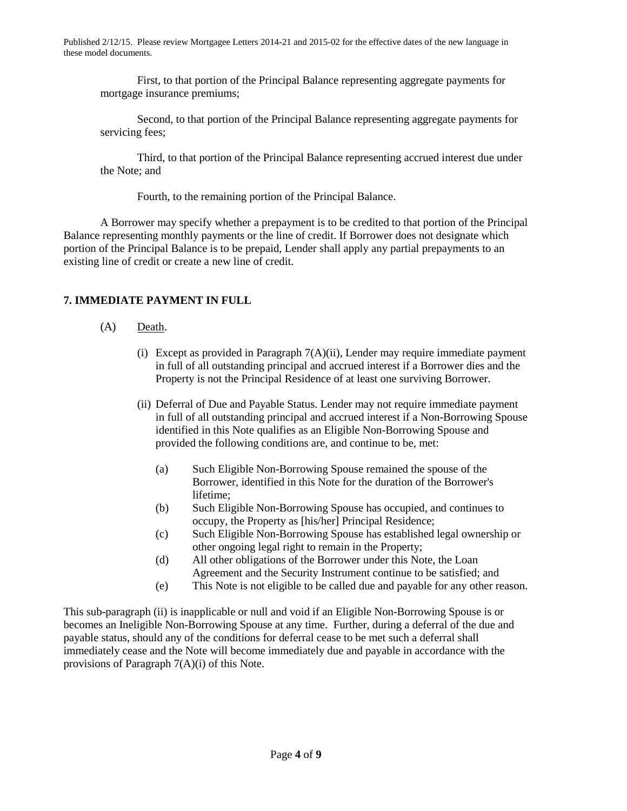First, to that portion of the Principal Balance representing aggregate payments for mortgage insurance premiums;

Second, to that portion of the Principal Balance representing aggregate payments for servicing fees;

Third, to that portion of the Principal Balance representing accrued interest due under the Note; and

Fourth, to the remaining portion of the Principal Balance.

A Borrower may specify whether a prepayment is to be credited to that portion of the Principal Balance representing monthly payments or the line of credit. If Borrower does not designate which portion of the Principal Balance is to be prepaid, Lender shall apply any partial prepayments to an existing line of credit or create a new line of credit.

# **7. IMMEDIATE PAYMENT IN FULL**

- (A) Death.
	- (i) Except as provided in Paragraph  $7(A)(ii)$ , Lender may require immediate payment in full of all outstanding principal and accrued interest if a Borrower dies and the Property is not the Principal Residence of at least one surviving Borrower.
	- (ii) Deferral of Due and Payable Status. Lender may not require immediate payment in full of all outstanding principal and accrued interest if a Non-Borrowing Spouse identified in this Note qualifies as an Eligible Non-Borrowing Spouse and provided the following conditions are, and continue to be, met:
		- (a) Such Eligible Non-Borrowing Spouse remained the spouse of the Borrower, identified in this Note for the duration of the Borrower's lifetime;
		- (b) Such Eligible Non-Borrowing Spouse has occupied, and continues to occupy, the Property as [his/her] Principal Residence;
		- (c) Such Eligible Non-Borrowing Spouse has established legal ownership or other ongoing legal right to remain in the Property;
		- (d) All other obligations of the Borrower under this Note, the Loan Agreement and the Security Instrument continue to be satisfied; and
		- (e) This Note is not eligible to be called due and payable for any other reason.

This sub-paragraph (ii) is inapplicable or null and void if an Eligible Non-Borrowing Spouse is or becomes an Ineligible Non-Borrowing Spouse at any time. Further, during a deferral of the due and payable status, should any of the conditions for deferral cease to be met such a deferral shall immediately cease and the Note will become immediately due and payable in accordance with the provisions of Paragraph 7(A)(i) of this Note.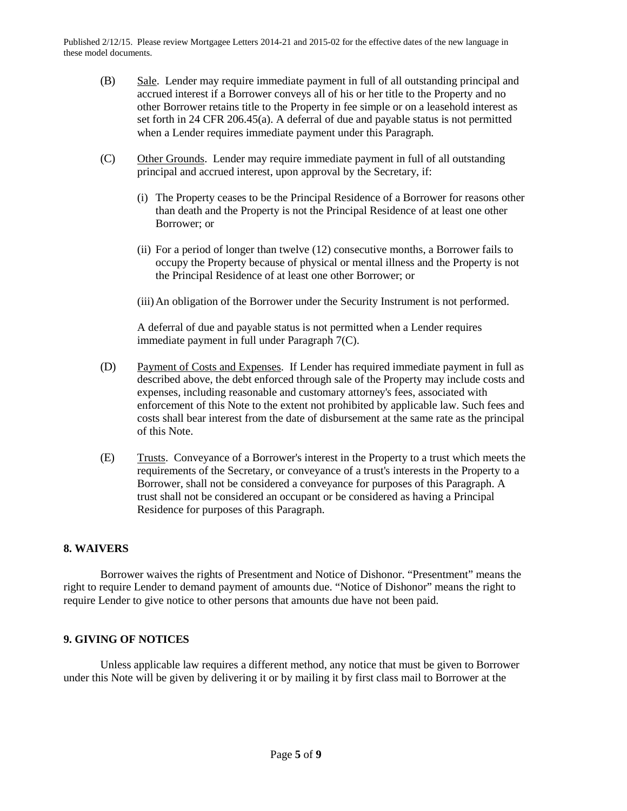- (B) Sale. Lender may require immediate payment in full of all outstanding principal and accrued interest if a Borrower conveys all of his or her title to the Property and no other Borrower retains title to the Property in fee simple or on a leasehold interest as set forth in 24 CFR 206.45(a). A deferral of due and payable status is not permitted when a Lender requires immediate payment under this Paragraph.
- (C) Other Grounds. Lender may require immediate payment in full of all outstanding principal and accrued interest, upon approval by the Secretary, if:
	- (i) The Property ceases to be the Principal Residence of a Borrower for reasons other than death and the Property is not the Principal Residence of at least one other Borrower; or
	- (ii) For a period of longer than twelve (12) consecutive months, a Borrower fails to occupy the Property because of physical or mental illness and the Property is not the Principal Residence of at least one other Borrower; or
	- (iii)An obligation of the Borrower under the Security Instrument is not performed.

A deferral of due and payable status is not permitted when a Lender requires immediate payment in full under Paragraph 7(C).

- (D) Payment of Costs and Expenses. If Lender has required immediate payment in full as described above, the debt enforced through sale of the Property may include costs and expenses, including reasonable and customary attorney's fees, associated with enforcement of this Note to the extent not prohibited by applicable law. Such fees and costs shall bear interest from the date of disbursement at the same rate as the principal of this Note.
- (E) Trusts. Conveyance of a Borrower's interest in the Property to a trust which meets the requirements of the Secretary, or conveyance of a trust's interests in the Property to a Borrower, shall not be considered a conveyance for purposes of this Paragraph. A trust shall not be considered an occupant or be considered as having a Principal Residence for purposes of this Paragraph.

### **8. WAIVERS**

Borrower waives the rights of Presentment and Notice of Dishonor. "Presentment" means the right to require Lender to demand payment of amounts due. "Notice of Dishonor" means the right to require Lender to give notice to other persons that amounts due have not been paid.

### **9. GIVING OF NOTICES**

Unless applicable law requires a different method, any notice that must be given to Borrower under this Note will be given by delivering it or by mailing it by first class mail to Borrower at the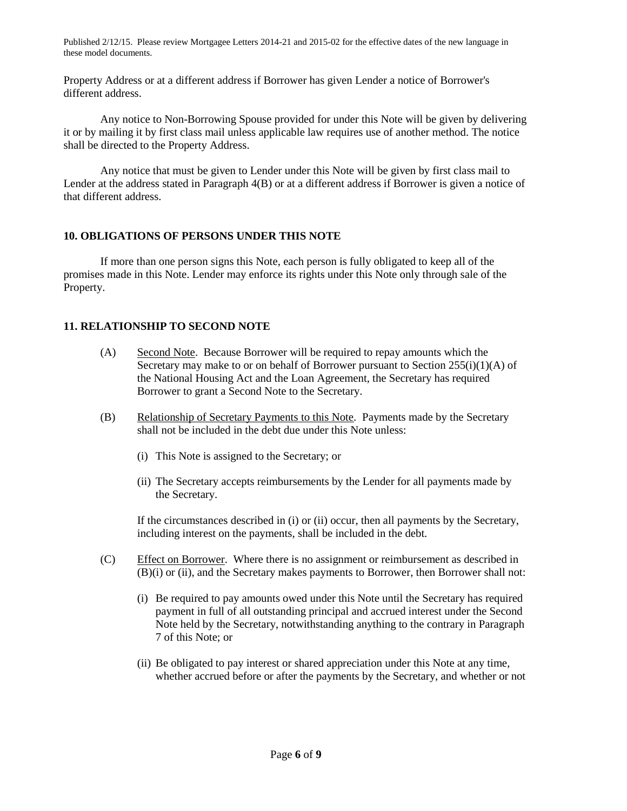Property Address or at a different address if Borrower has given Lender a notice of Borrower's different address.

Any notice to Non-Borrowing Spouse provided for under this Note will be given by delivering it or by mailing it by first class mail unless applicable law requires use of another method. The notice shall be directed to the Property Address.

Any notice that must be given to Lender under this Note will be given by first class mail to Lender at the address stated in Paragraph 4(B) or at a different address if Borrower is given a notice of that different address.

## **10. OBLIGATIONS OF PERSONS UNDER THIS NOTE**

If more than one person signs this Note, each person is fully obligated to keep all of the promises made in this Note. Lender may enforce its rights under this Note only through sale of the Property.

# **11. RELATIONSHIP TO SECOND NOTE**

- (A) Second Note. Because Borrower will be required to repay amounts which the Secretary may make to or on behalf of Borrower pursuant to Section  $255(i)(1)(A)$  of the National Housing Act and the Loan Agreement, the Secretary has required Borrower to grant a Second Note to the Secretary.
- (B) Relationship of Secretary Payments to this Note. Payments made by the Secretary shall not be included in the debt due under this Note unless:
	- (i) This Note is assigned to the Secretary; or
	- (ii) The Secretary accepts reimbursements by the Lender for all payments made by the Secretary.

If the circumstances described in (i) or (ii) occur, then all payments by the Secretary, including interest on the payments, shall be included in the debt.

- (C) Effect on Borrower. Where there is no assignment or reimbursement as described in (B)(i) or (ii), and the Secretary makes payments to Borrower, then Borrower shall not:
	- (i) Be required to pay amounts owed under this Note until the Secretary has required payment in full of all outstanding principal and accrued interest under the Second Note held by the Secretary, notwithstanding anything to the contrary in Paragraph 7 of this Note; or
	- (ii) Be obligated to pay interest or shared appreciation under this Note at any time, whether accrued before or after the payments by the Secretary, and whether or not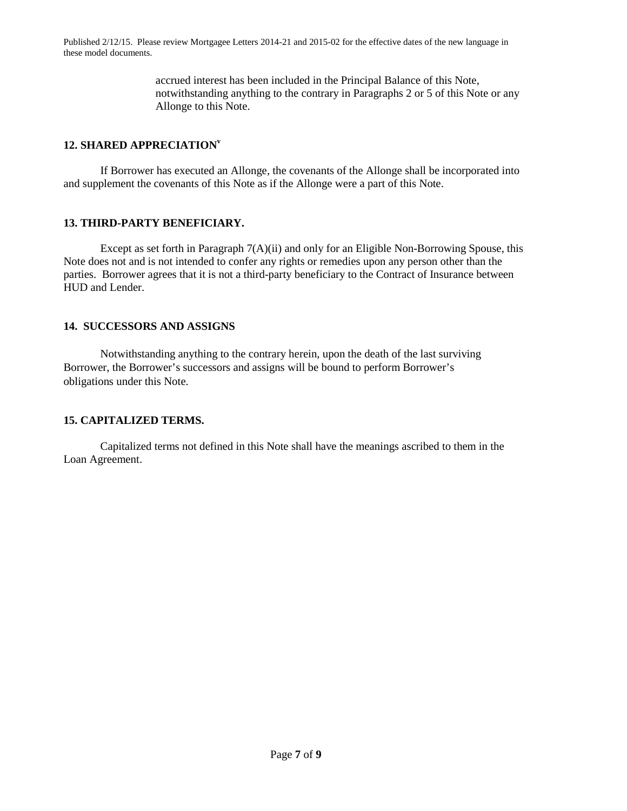> accrued interest has been included in the Principal Balance of this Note, notwithstanding anything to the contrary in Paragraphs 2 or 5 of this Note or any Allonge to this Note.

## **12. SHARED APPRECIATION<sup>v</sup>**

If Borrower has executed an Allonge, the covenants of the Allonge shall be incorporated into and supplement the covenants of this Note as if the Allonge were a part of this Note.

## **13. THIRD-PARTY BENEFICIARY.**

Except as set forth in Paragraph  $7(A)(ii)$  and only for an Eligible Non-Borrowing Spouse, this Note does not and is not intended to confer any rights or remedies upon any person other than the parties. Borrower agrees that it is not a third-party beneficiary to the Contract of Insurance between HUD and Lender.

## **14. SUCCESSORS AND ASSIGNS**

Notwithstanding anything to the contrary herein, upon the death of the last surviving Borrower, the Borrower's successors and assigns will be bound to perform Borrower's obligations under this Note.

# **15. CAPITALIZED TERMS.**

Capitalized terms not defined in this Note shall have the meanings ascribed to them in the Loan Agreement.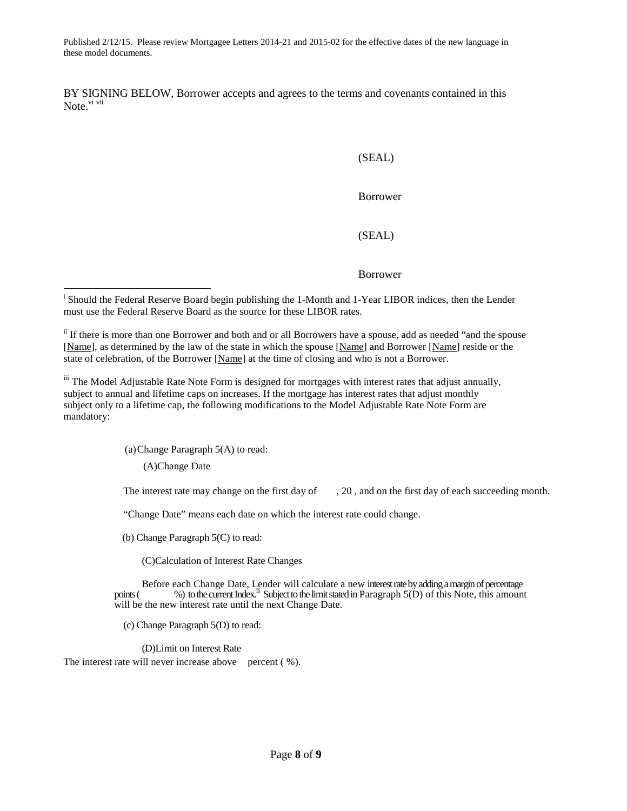BY SIGNING BELOW, Borrower accepts and agrees to the terms and covenants contained in this Note.<sup>vi vii</sup>

#### (SEAL)

#### Borrower

#### (SEAL)

#### Borrower

<sup>i</sup> Should the Federal Reserve Board begin publishing the 1-Month and 1-Year LIBOR indices, then the Lender must use the Federal Reserve Board as the source for these LIBOR rates.

iii The Model Adjustable Rate Note Form is designed for mortgages with interest rates that adjust annually, subject to annual and lifetime caps on increases. If the mortgage has interest rates that adjust monthly subject only to a lifetime cap, the following modifications to the Model Adjustable Rate Note Form are mandatory:

(a)Change Paragraph 5(A) to read:

(A)Change Date

The interest rate may change on the first day of  $, 20$ , and on the first day of each succeeding month.

"Change Date" means each date on which the interest rate could change.

(b) Change Paragraph 5(C) to read:

(C)Calculation of Interest Rate Changes

Before each Change Date, Lender will calculate a new interest rate by adding a margin of percentage<br>points ( $\%$ ) to the current Index.<sup>iii</sup> Subject to the limit stated in Paragraph 5(D) of this Note, this amount %) to the current Index.<sup>iii</sup> Subject to the limit stated in Paragraph 5(D) of this Note, this amount will be the new interest rate until the next Change Date.

(c) Change Paragraph 5(D) to read:

(D)Limit on Interest Rate

The interest rate will never increase above percent ( %).

<sup>&</sup>lt;sup>ii</sup> If there is more than one Borrower and both and or all Borrowers have a spouse, add as needed "and the spouse [Name], as determined by the law of the state in which the spouse [Name] and Borrower [Name] reside or the state of celebration, of the Borrower [Name] at the time of closing and who is not a Borrower.